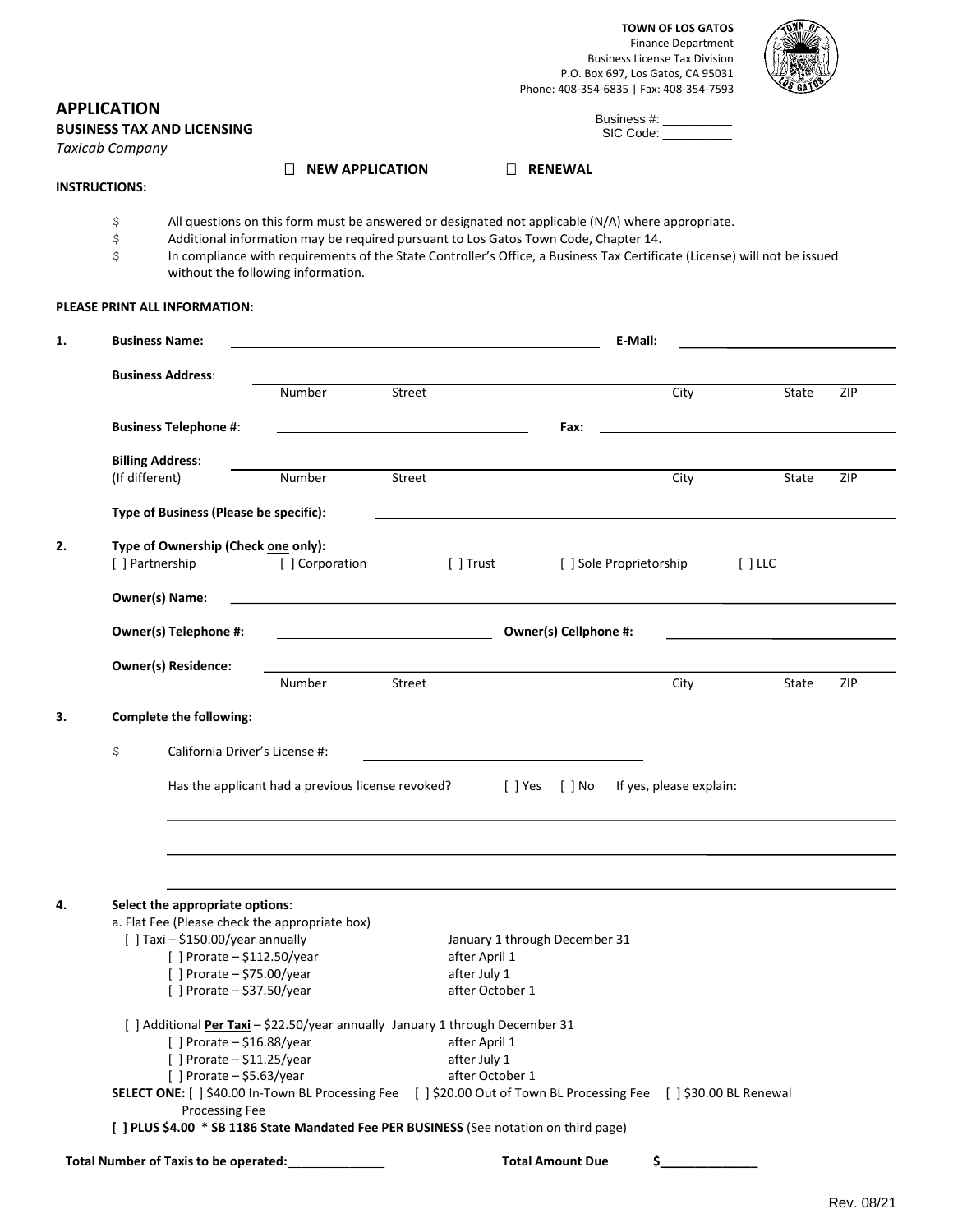

| <b>APPLICATION</b> |
|--------------------|
|--------------------|

| <b>BUSINESS TAX AND LICENSING</b> |  |
|-----------------------------------|--|
| <b>Taxicab Company</b>            |  |

# Business #: SIC Code:

# **INSTRUCTIONS:**

\$ All questions on this form must be answered or designated not applicable (N/A) where appropriate.

 **NEW APPLICATION RENEWAL**

- \$ Additional information may be required pursuant to Los Gatos Town Code, Chapter 14.<br>\$ In compliance with requirements of the State Controller's Office, a Business Tax Certific
- In compliance with requirements of the State Controller's Office, a Business Tax Certificate (License) will not be issued without the following information.

# **PLEASE PRINT ALL INFORMATION:**

| 1. |                | <b>Business Name:</b>                                                             |                                                                                                                      |        |                 |                               | E-Mail:                 |           |     |
|----|----------------|-----------------------------------------------------------------------------------|----------------------------------------------------------------------------------------------------------------------|--------|-----------------|-------------------------------|-------------------------|-----------|-----|
|    |                | <b>Business Address:</b>                                                          |                                                                                                                      |        |                 |                               |                         |           |     |
|    |                |                                                                                   | Number                                                                                                               | Street |                 |                               | City                    | State     | ZIP |
|    |                | <b>Business Telephone #:</b>                                                      |                                                                                                                      |        |                 | Fax:                          |                         |           |     |
|    |                | <b>Billing Address:</b>                                                           |                                                                                                                      |        |                 |                               |                         |           |     |
|    | (If different) |                                                                                   | Number                                                                                                               | Street |                 |                               | City                    | State     | ZIP |
|    |                | Type of Business (Please be specific):                                            |                                                                                                                      |        |                 |                               |                         |           |     |
| 2. |                | Type of Ownership (Check one only):                                               |                                                                                                                      |        |                 |                               |                         |           |     |
|    |                | [] Partnership                                                                    | [ ] Corporation                                                                                                      |        | [ ] Trust       |                               | [ ] Sole Proprietorship | $[$ ] LLC |     |
|    |                | <b>Owner(s) Name:</b>                                                             |                                                                                                                      |        |                 |                               |                         |           |     |
|    |                | Owner(s) Telephone #:                                                             | <u> Alexandria de la contenentación de la contenentación de la contenentación de la contenentación de la contene</u> |        |                 | Owner(s) Cellphone #:         |                         |           |     |
|    |                | <b>Owner(s) Residence:</b>                                                        |                                                                                                                      |        |                 |                               |                         |           |     |
|    |                |                                                                                   | Number                                                                                                               | Street |                 |                               | City                    | State     | ZIP |
| 3. |                | Complete the following:                                                           |                                                                                                                      |        |                 |                               |                         |           |     |
|    | \$             | California Driver's License #:                                                    |                                                                                                                      |        |                 |                               |                         |           |     |
|    |                |                                                                                   |                                                                                                                      |        |                 |                               |                         |           |     |
|    |                |                                                                                   | Has the applicant had a previous license revoked?                                                                    |        | [ ] Yes         | [ ] No                        | If yes, please explain: |           |     |
|    |                |                                                                                   |                                                                                                                      |        |                 |                               |                         |           |     |
|    |                |                                                                                   |                                                                                                                      |        |                 |                               |                         |           |     |
|    |                |                                                                                   |                                                                                                                      |        |                 |                               |                         |           |     |
| 4. |                | Select the appropriate options:<br>a. Flat Fee (Please check the appropriate box) |                                                                                                                      |        |                 |                               |                         |           |     |
|    |                | $[$ ] Taxi - \$150.00/year annually                                               |                                                                                                                      |        |                 | January 1 through December 31 |                         |           |     |
|    |                | [ ] Prorate - \$112.50/year                                                       |                                                                                                                      |        | after April 1   |                               |                         |           |     |
|    |                | [] Prorate $-$ \$75.00/year                                                       |                                                                                                                      |        | after July 1    |                               |                         |           |     |
|    |                | $[ ]$ Prorate - \$37.50/year                                                      |                                                                                                                      |        | after October 1 |                               |                         |           |     |
|    |                |                                                                                   | [ ] Additional Per Taxi - \$22.50/year annually January 1 through December 31                                        |        |                 |                               |                         |           |     |
|    |                | $[$ ] Prorate - \$16.88/year                                                      |                                                                                                                      |        | after April 1   |                               |                         |           |     |
|    |                | [] Prorate $-$ \$11.25/year                                                       |                                                                                                                      |        | after July 1    |                               |                         |           |     |
|    |                | [] Prorate $-$ \$5.63/year                                                        |                                                                                                                      |        | after October 1 |                               |                         |           |     |
|    |                | Processing Fee                                                                    | SELECT ONE: [ ] \$40.00 In-Town BL Processing Fee [ ] \$20.00 Out of Town BL Processing Fee [ ] \$30.00 BL Renewal   |        |                 |                               |                         |           |     |
|    |                |                                                                                   | [ ] PLUS \$4.00 * SB 1186 State Mandated Fee PER BUSINESS (See notation on third page)                               |        |                 |                               |                         |           |     |
|    |                | Total Number of Taxis to be operated:                                             |                                                                                                                      |        |                 | <b>Total Amount Due</b>       | \$.                     |           |     |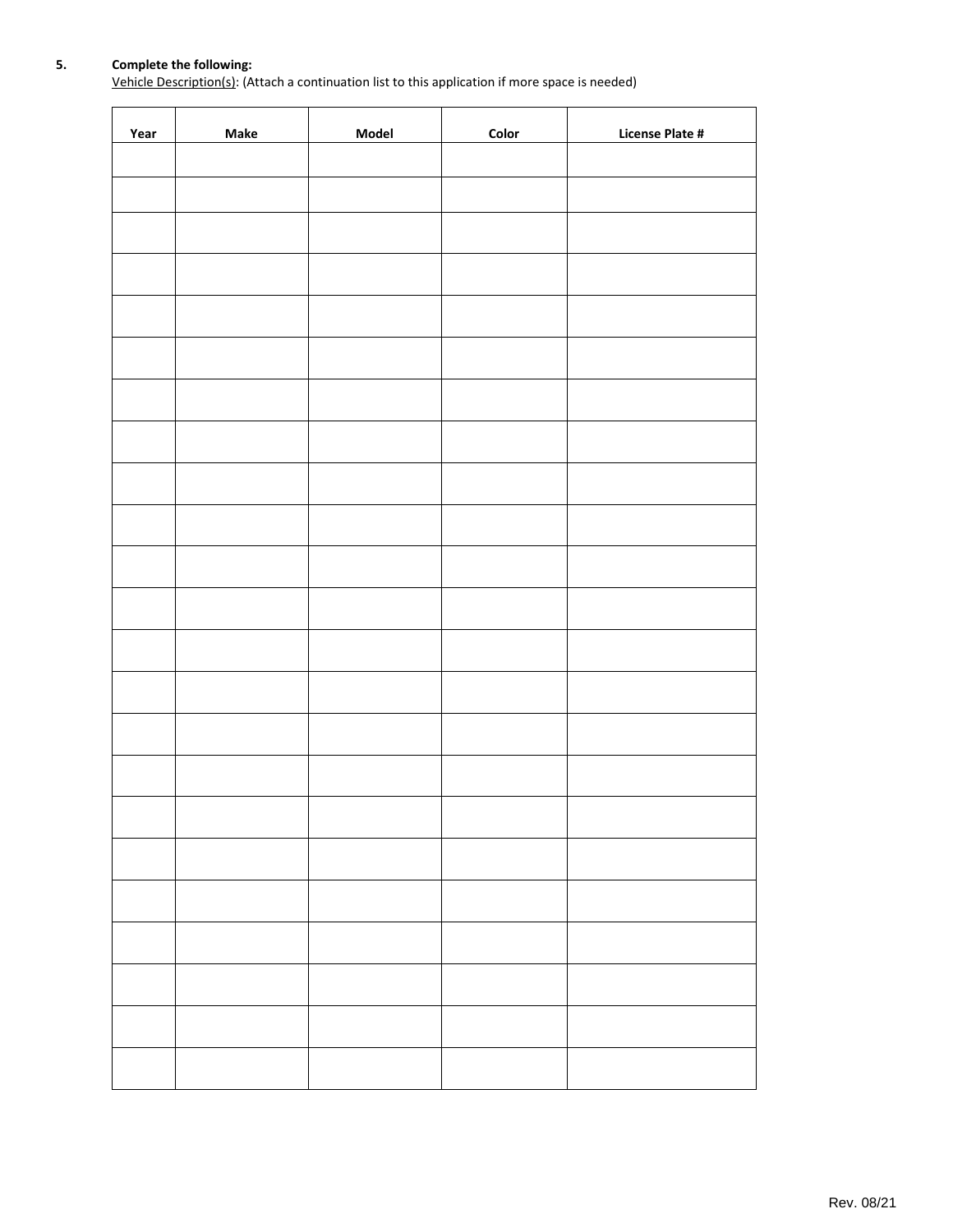# **5. Complete the following:**

Vehicle Description(s): (Attach a continuation list to this application if more space is needed)

| Year | Make | Model | Color | <b>License Plate #</b> |
|------|------|-------|-------|------------------------|
|      |      |       |       |                        |
|      |      |       |       |                        |
|      |      |       |       |                        |
|      |      |       |       |                        |
|      |      |       |       |                        |
|      |      |       |       |                        |
|      |      |       |       |                        |
|      |      |       |       |                        |
|      |      |       |       |                        |
|      |      |       |       |                        |
|      |      |       |       |                        |
|      |      |       |       |                        |
|      |      |       |       |                        |
|      |      |       |       |                        |
|      |      |       |       |                        |
|      |      |       |       |                        |
|      |      |       |       |                        |
|      |      |       |       |                        |
|      |      |       |       |                        |
|      |      |       |       |                        |
|      |      |       |       |                        |
|      |      |       |       |                        |
|      |      |       |       |                        |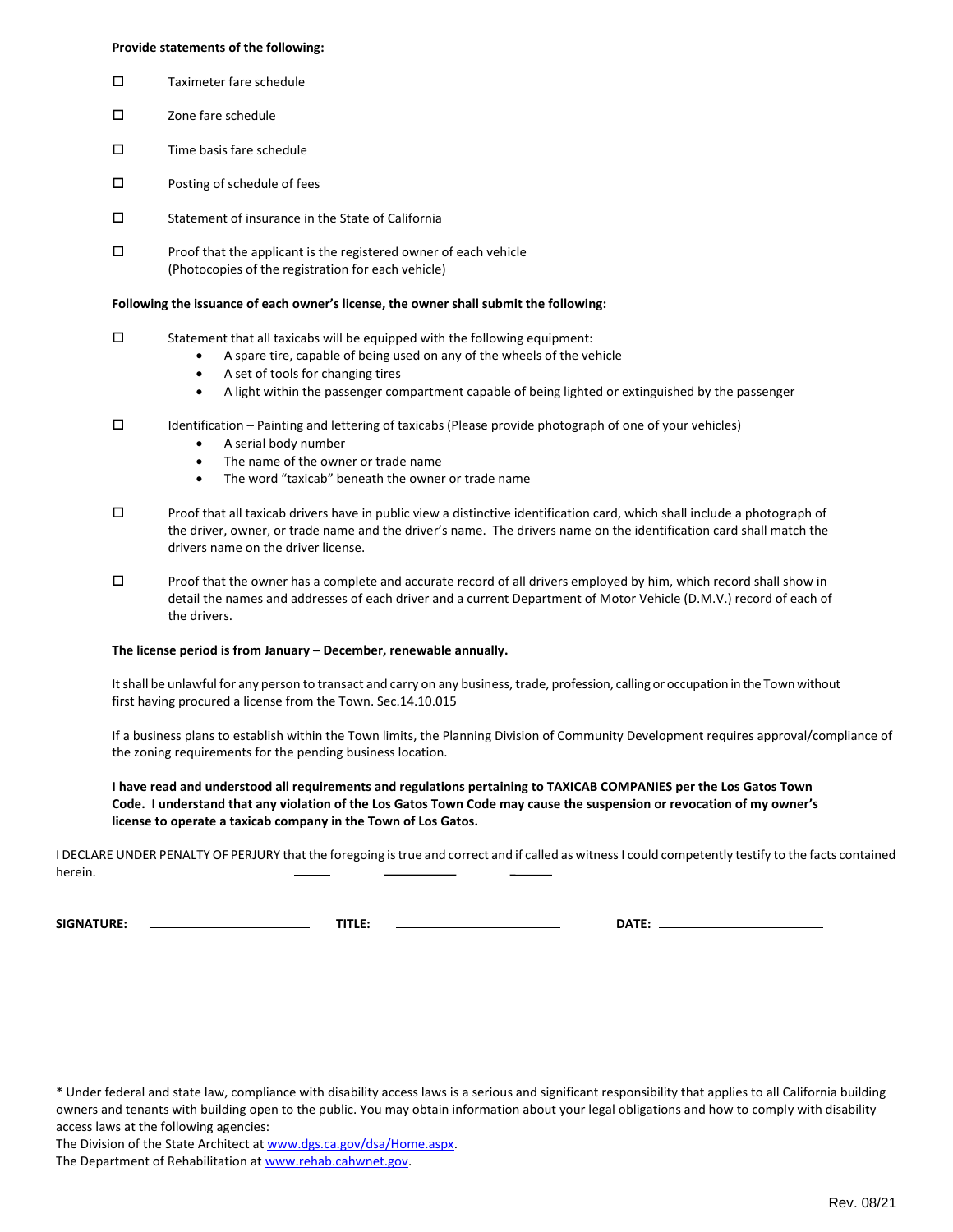#### **Provide statements of the following:**

- $\square$  Taximeter fare schedule
- $\square$  Zone fare schedule
- $\square$  Time basis fare schedule
- $\square$  Posting of schedule of fees
- $\square$  Statement of insurance in the State of California
- $\square$  Proof that the applicant is the registered owner of each vehicle (Photocopies of the registration for each vehicle)

#### **Following the issuance of each owner's license, the owner shall submit the following:**

- $\square$  Statement that all taxicabs will be equipped with the following equipment:
	- A spare tire, capable of being used on any of the wheels of the vehicle
	- A set of tools for changing tires
	- A light within the passenger compartment capable of being lighted or extinguished by the passenger
- Identification Painting and lettering of taxicabs (Please provide photograph of one of your vehicles)
	- A serial body number
	- The name of the owner or trade name
	- The word "taxicab" beneath the owner or trade name
- $\square$  Proof that all taxicab drivers have in public view a distinctive identification card, which shall include a photograph of the driver, owner, or trade name and the driver's name. The drivers name on the identification card shall match the drivers name on the driver license.
- Proof that the owner has a complete and accurate record of all drivers employed by him, which record shall show in detail the names and addresses of each driver and a current Department of Motor Vehicle (D.M.V.) record of each of the drivers.

#### **The license period is from January – December, renewable annually.**

It shall be unlawful for any person to transact and carry on any business, trade, profession, calling or occupation in the Town without first having procured a license from the Town. Sec.14.10.015

If a business plans to establish within the Town limits, the Planning Division of Community Development requires approval/compliance of the zoning requirements for the pending business location.

### **I have read and understood all requirements and regulations pertaining to TAXICAB COMPANIES per the Los Gatos Town Code. I understand that any violation of the Los Gatos Town Code may cause the suspension or revocation of my owner's license to operate a taxicab company in the Town of Los Gatos.**

I DECLARE UNDER PENALTY OF PERJURY that the foregoing is true and correct and if called as witness I could competently testify to the facts contained herein.

| <b>SIGNATURE:</b><br>----<br>----<br>``<br>.<br>TURE.<br>. |
|------------------------------------------------------------|
|------------------------------------------------------------|

\* Under federal and state law, compliance with disability access laws is a serious and significant responsibility that applies to all California building owners and tenants with building open to the public. You may obtain information about your legal obligations and how to comply with disability access laws at the following agencies:

The Division of the State Architect at [www.dgs.ca.gov/dsa/Home.aspx.](http://www.dgs.ca.gov/dsa/Home.aspx)

The Department of Rehabilitation a[t www.rehab.cahwnet.gov.](http://www.rehab.cahwnet.gov/)